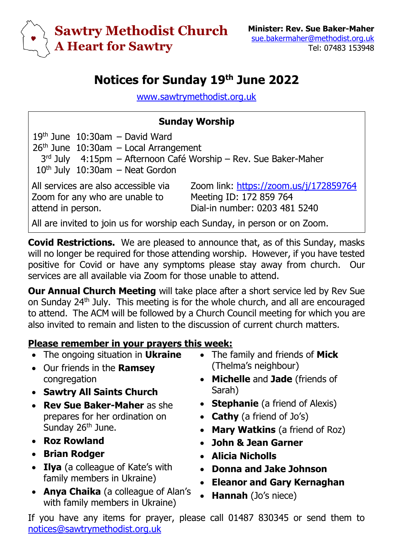

## **Notices for Sunday 19 th June 2022**

[www.sawtrymethodist.org.uk](http://www.sawtrymethodist.org.uk/)

## **Sunday Worship**

| $19th$ June $10:30$ am – David Ward                             |  |                                        |  |  |
|-----------------------------------------------------------------|--|----------------------------------------|--|--|
| $26th$ June 10:30am - Local Arrangement                         |  |                                        |  |  |
| 3rd July 4:15pm - Afternoon Café Worship - Rev. Sue Baker-Maher |  |                                        |  |  |
| $10th$ July $10:30$ am – Neat Gordon                            |  |                                        |  |  |
| All services are also accessible via                            |  | Zoom link: https://zoom.us/j/172859764 |  |  |
| Zoom for any who are unable to                                  |  | Meeting ID: 172 859 764                |  |  |
| attend in person.                                               |  | Dial-in number: 0203 481 5240          |  |  |
|                                                                 |  |                                        |  |  |

All are invited to join us for worship each Sunday, in person or on Zoom.

**Covid Restrictions.** We are pleased to announce that, as of this Sunday, masks will no longer be required for those attending worship. However, if you have tested positive for Covid or have any symptoms please stay away from church. Our services are all available via Zoom for those unable to attend.

**Our Annual Church Meeting** will take place after a short service led by Rev Sue on Sunday 24th July. This meeting is for the whole church, and all are encouraged to attend. The ACM will be followed by a Church Council meeting for which you are also invited to remain and listen to the discussion of current church matters.

## **Please remember in your prayers this week:**

- The ongoing situation in **Ukraine**
- Our friends in the **Ramsey** congregation
- **Sawtry All Saints Church**
- **Rev Sue Baker-Maher** as she prepares for her ordination on Sunday 26<sup>th</sup> June.
- **Roz Rowland**
- **Brian Rodger**
- **Ilya** (a colleague of Kate's with family members in Ukraine)
- **Anya Chaika** (a colleague of Alan's with family members in Ukraine)
- The family and friends of **Mick** (Thelma's neighbour)
- **Michelle** and **Jade** (friends of Sarah)
- **Stephanie** (a friend of Alexis)
- **Cathy** (a friend of Jo's)
- **Mary Watkins** (a friend of Roz)
- **John & Jean Garner**
- **Alicia Nicholls**
- **Donna and Jake Johnson**
- **Eleanor and Gary Kernaghan**
- **Hannah** (Jo's niece)

If you have any items for prayer, please call 01487 830345 or send them to [notices@sawtrymethodist.org.uk](mailto:notices@sawtrymethodist.org.uk)